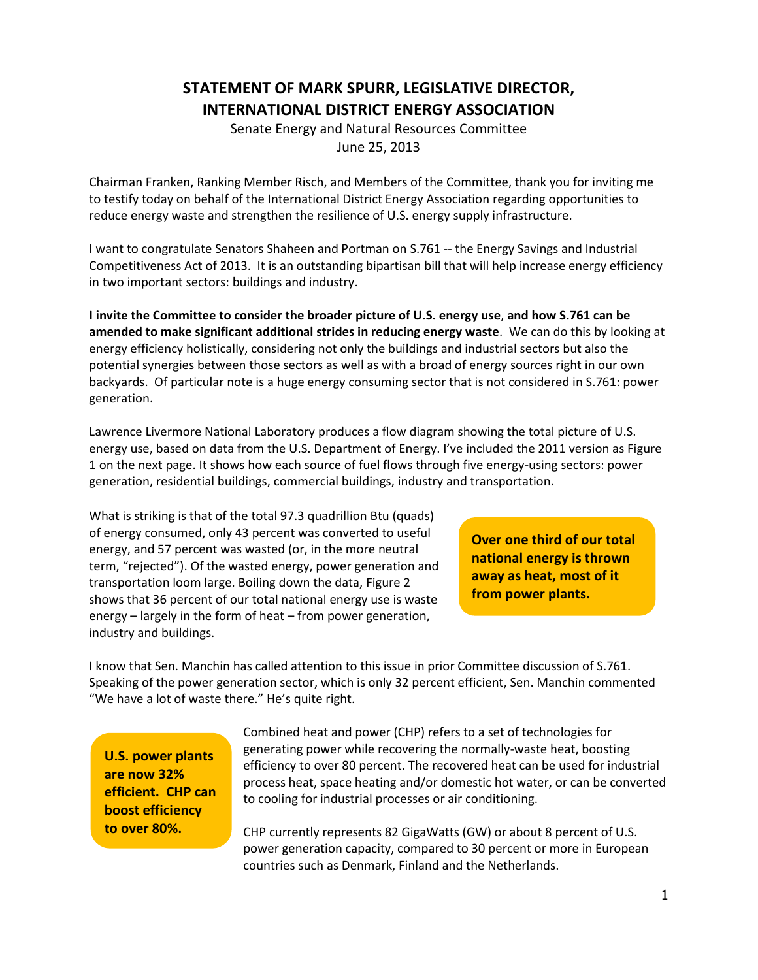## **STATEMENT OF MARK SPURR, LEGISLATIVE DIRECTOR, INTERNATIONAL DISTRICT ENERGY ASSOCIATION**

Senate Energy and Natural Resources Committee June 25, 2013

Chairman Franken, Ranking Member Risch, and Members of the Committee, thank you for inviting me to testify today on behalf of the International District Energy Association regarding opportunities to reduce energy waste and strengthen the resilience of U.S. energy supply infrastructure.

I want to congratulate Senators Shaheen and Portman on S.761 -- the Energy Savings and Industrial Competitiveness Act of 2013. It is an outstanding bipartisan bill that will help increase energy efficiency in two important sectors: buildings and industry.

**I invite the Committee to consider the broader picture of U.S. energy use**, **and how S.761 can be amended to make significant additional strides in reducing energy waste**. We can do this by looking at energy efficiency holistically, considering not only the buildings and industrial sectors but also the potential synergies between those sectors as well as with a broad of energy sources right in our own backyards. Of particular note is a huge energy consuming sector that is not considered in S.761: power generation.

Lawrence Livermore National Laboratory produces a flow diagram showing the total picture of U.S. energy use, based on data from the U.S. Department of Energy. I've included the 2011 version as Figure 1 on the next page. It shows how each source of fuel flows through five energy-using sectors: power generation, residential buildings, commercial buildings, industry and transportation.

What is striking is that of the total 97.3 quadrillion Btu (quads) of energy consumed, only 43 percent was converted to useful energy, and 57 percent was wasted (or, in the more neutral term, "rejected"). Of the wasted energy, power generation and transportation loom large. Boiling down the data, Figure 2 shows that 36 percent of our total national energy use is waste energy – largely in the form of heat – from power generation, industry and buildings.

**Over one third of our total national energy is thrown away as heat, most of it from power plants.**

I know that Sen. Manchin has called attention to this issue in prior Committee discussion of S.761. Speaking of the power generation sector, which is only 32 percent efficient, Sen. Manchin commented "We have a lot of waste there." He's quite right.

**U.S. power plants are now 32% efficient. CHP can boost efficiency to over 80%.**

Combined heat and power (CHP) refers to a set of technologies for generating power while recovering the normally-waste heat, boosting efficiency to over 80 percent. The recovered heat can be used for industrial process heat, space heating and/or domestic hot water, or can be converted to cooling for industrial processes or air conditioning.

CHP currently represents 82 GigaWatts (GW) or about 8 percent of U.S. power generation capacity, compared to 30 percent or more in European countries such as Denmark, Finland and the Netherlands.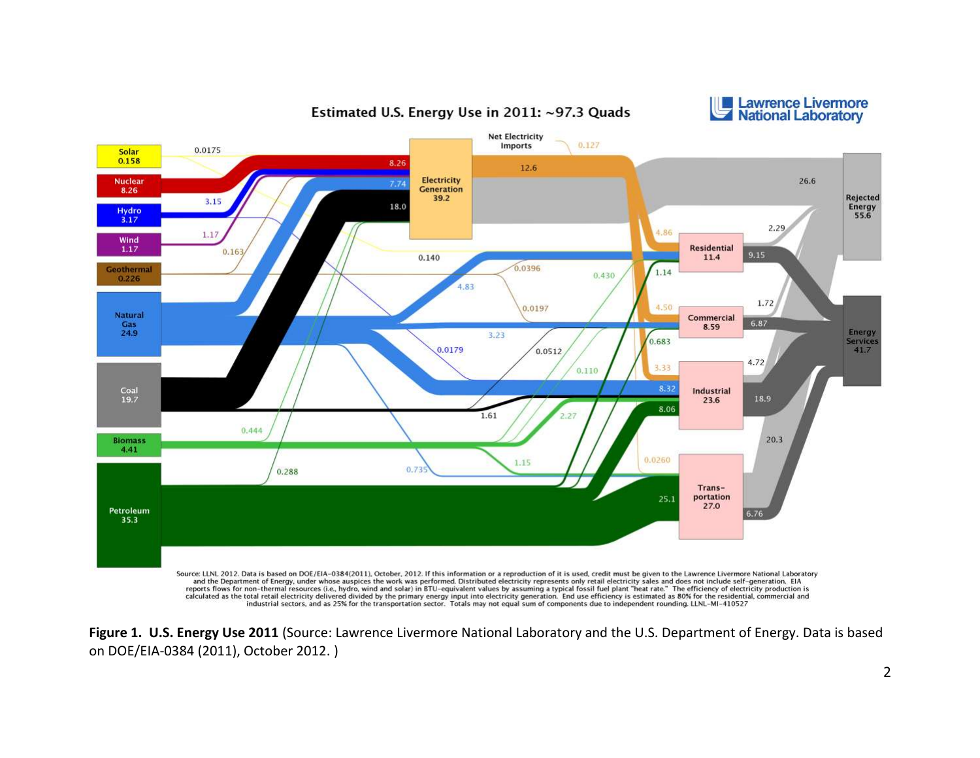

Estimated U.S. Energy Use in 2011: ~97.3 Quads



Source: LLNL 2012. Data is based on DOE/EIA-0384(2011), October, 2012. If this information or a reproduction of it is used, credit must be given to the Lawrence Livermore National Laboratory and the Department of Energy, u

**Figure 1. U.S. Energy Use 2011** (Source: Lawrence Livermore National Laboratory and the U.S. Department of Energy. Data is based on DOE/EIA-0384 (2011), October 2012. )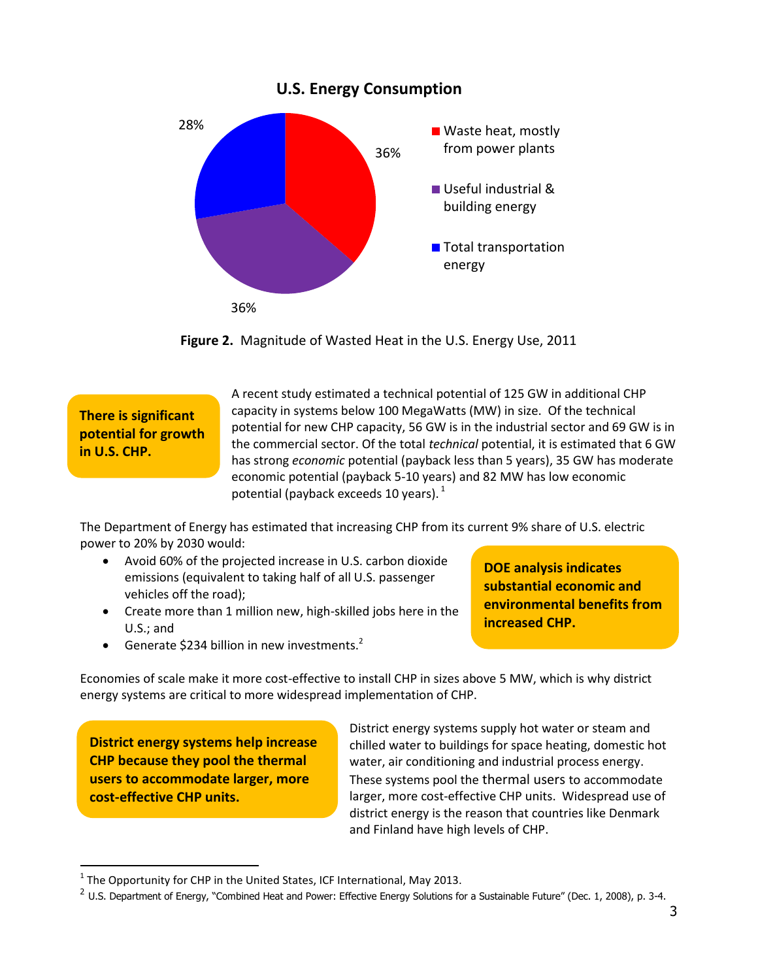

**Figure 2.** Magnitude of Wasted Heat in the U.S. Energy Use, 2011

**There is significant potential for growth in U.S. CHP.**

A recent study estimated a technical potential of 125 GW in additional CHP capacity in systems below 100 MegaWatts (MW) in size. Of the technical potential for new CHP capacity, 56 GW is in the industrial sector and 69 GW is in the commercial sector. Of the total *technical* potential, it is estimated that 6 GW has strong *economic* potential (payback less than 5 years), 35 GW has moderate economic potential (payback 5-10 years) and 82 MW has low economic potential (payback exceeds 10 years).  $1$ 

The Department of Energy has estimated that increasing CHP from its current 9% share of U.S. electric power to 20% by 2030 would:

- Avoid 60% of the projected increase in U.S. carbon dioxide emissions (equivalent to taking half of all U.S. passenger vehicles off the road);
- Create more than 1 million new, high-skilled jobs here in the U.S.; and

**DOE analysis indicates substantial economic and environmental benefits from increased CHP.**

Generate \$234 billion in new investments. $2$ 

Economies of scale make it more cost-effective to install CHP in sizes above 5 MW, which is why district energy systems are critical to more widespread implementation of CHP.

**District energy systems help increase CHP because they pool the thermal users to accommodate larger, more cost-effective CHP units.**

j

District energy systems supply hot water or steam and chilled water to buildings for space heating, domestic hot water, air conditioning and industrial process energy. These systems pool the thermal users to accommodate larger, more cost-effective CHP units. Widespread use of district energy is the reason that countries like Denmark and Finland have high levels of CHP.

 $<sup>1</sup>$  The Opportunity for CHP in the United States, ICF International, May 2013.</sup>

 $^2$  U.S. Department of Energy, "Combined Heat and Power: Effective Energy Solutions for a Sustainable Future" (Dec. 1, 2008), p. 3-4.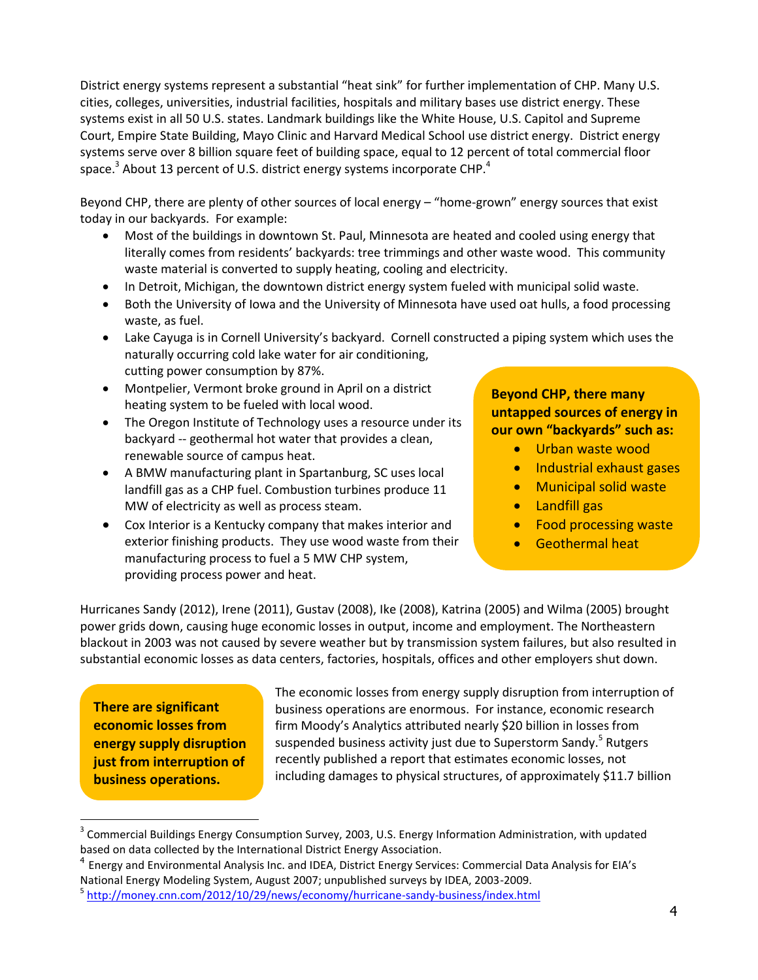District energy systems represent a substantial "heat sink" for further implementation of CHP. Many U.S. cities, colleges, universities, industrial facilities, hospitals and military bases use district energy. These systems exist in all 50 U.S. states. Landmark buildings like the White House, U.S. Capitol and Supreme Court, Empire State Building, Mayo Clinic and Harvard Medical School use district energy. District energy systems serve over 8 billion square feet of building space, equal to 12 percent of total commercial floor space.<sup>3</sup> About 13 percent of U.S. district energy systems incorporate CHP.<sup>4</sup>

Beyond CHP, there are plenty of other sources of local energy – "home-grown" energy sources that exist today in our backyards. For example:

- Most of the buildings in downtown St. Paul, Minnesota are heated and cooled using energy that literally comes from residents' backyards: tree trimmings and other waste wood. This community waste material is converted to supply heating, cooling and electricity.
- In Detroit, Michigan, the downtown district energy system fueled with municipal solid waste.
- Both the University of Iowa and the University of Minnesota have used oat hulls, a food processing waste, as fuel.
- Lake Cayuga is in Cornell University's backyard. Cornell constructed a piping system which uses the naturally occurring cold lake water for air conditioning, cutting power consumption by 87%.
- Montpelier, Vermont broke ground in April on a district heating system to be fueled with local wood.
- The Oregon Institute of Technology uses a resource under its backyard -- geothermal hot water that provides a clean, renewable source of campus heat.
- A BMW manufacturing plant in Spartanburg, SC uses local landfill gas as a CHP fuel. Combustion turbines produce 11 MW of electricity as well as process steam.
- Cox Interior is a Kentucky company that makes interior and exterior finishing products. They use wood waste from their manufacturing process to fuel a 5 MW CHP system, providing process power and heat.

**Beyond CHP, there many untapped sources of energy in our own "backyards" such as:**

- Urban waste wood
- **•** Industrial exhaust gases
- **•** Municipal solid waste
	- Landfill gas
	- Food processing waste
	- Geothermal heat

Hurricanes Sandy (2012), Irene (2011), Gustav (2008), Ike (2008), Katrina (2005) and Wilma (2005) brought power grids down, causing huge economic losses in output, income and employment. The Northeastern blackout in 2003 was not caused by severe weather but by transmission system failures, but also resulted in substantial economic losses as data centers, factories, hospitals, offices and other employers shut down.

**There are significant economic losses from energy supply disruption just from interruption of business operations.** 

 $\overline{a}$ 

The economic losses from energy supply disruption from interruption of business operations are enormous. For instance, economic research firm Moody's Analytics attributed nearly \$20 billion in losses from suspended business activity just due to Superstorm Sandy.<sup>5</sup> Rutgers recently published a report that estimates economic losses, not including damages to physical structures, of approximately \$11.7 billion

 $3$  Commercial Buildings Energy Consumption Survey, 2003, U.S. Energy Information Administration, with updated based on data collected by the International District Energy Association.

<sup>&</sup>lt;sup>4</sup> Energy and Environmental Analysis Inc. and IDEA, District Energy Services: Commercial Data Analysis for EIA's National Energy Modeling System, August 2007; unpublished surveys by IDEA, 2003-2009.

<sup>&</sup>lt;sup>5</sup> <http://money.cnn.com/2012/10/29/news/economy/hurricane-sandy-business/index.html>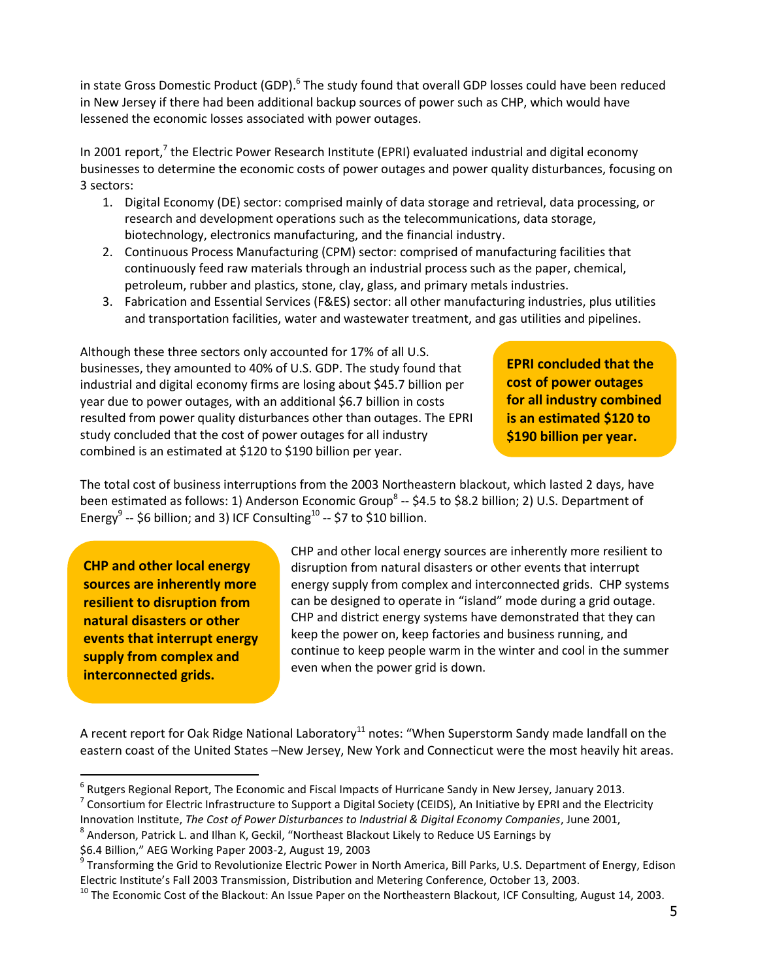in state Gross Domestic Product (GDP).<sup>6</sup> The study found that overall GDP losses could have been reduced in New Jersey if there had been additional backup sources of power such as CHP, which would have lessened the economic losses associated with power outages.

In 2001 report,<sup>7</sup> the Electric Power Research Institute (EPRI) evaluated industrial and digital economy businesses to determine the economic costs of power outages and power quality disturbances, focusing on 3 sectors:

- 1. Digital Economy (DE) sector: comprised mainly of data storage and retrieval, data processing, or research and development operations such as the telecommunications, data storage, biotechnology, electronics manufacturing, and the financial industry.
- 2. Continuous Process Manufacturing (CPM) sector: comprised of manufacturing facilities that continuously feed raw materials through an industrial process such as the paper, chemical, petroleum, rubber and plastics, stone, clay, glass, and primary metals industries.
- 3. Fabrication and Essential Services (F&ES) sector: all other manufacturing industries, plus utilities and transportation facilities, water and wastewater treatment, and gas utilities and pipelines.

Although these three sectors only accounted for 17% of all U.S. businesses, they amounted to 40% of U.S. GDP. The study found that industrial and digital economy firms are losing about \$45.7 billion per year due to power outages, with an additional \$6.7 billion in costs resulted from power quality disturbances other than outages. The EPRI study concluded that the cost of power outages for all industry combined is an estimated at \$120 to \$190 billion per year.

**EPRI concluded that the cost of power outages for all industry combined is an estimated \$120 to \$190 billion per year.**

The total cost of business interruptions from the 2003 Northeastern blackout, which lasted 2 days, have been estimated as follows: 1) Anderson Economic Group<sup>8</sup> -- \$4.5 to \$8.2 billion; 2) U.S. Department of Energy<sup>9</sup> -- \$6 billion; and 3) ICF Consulting<sup>10</sup> -- \$7 to \$10 billion.

**CHP and other local energy sources are inherently more resilient to disruption from natural disasters or other events that interrupt energy supply from complex and interconnected grids.** 

CHP and other local energy sources are inherently more resilient to disruption from natural disasters or other events that interrupt energy supply from complex and interconnected grids. CHP systems can be designed to operate in "island" mode during a grid outage. CHP and district energy systems have demonstrated that they can keep the power on, keep factories and business running, and continue to keep people warm in the winter and cool in the summer even when the power grid is down.

A recent report for Oak Ridge National Laboratory<sup>11</sup> notes: "When Superstorm Sandy made landfall on the eastern coast of the United States –New Jersey, New York and Connecticut were the most heavily hit areas.

<sup>7</sup> Consortium for Electric Infrastructure to Support a Digital Society (CEIDS), An Initiative by EPRI and the Electricity Innovation Institute, *The Cost of Power Disturbances to Industrial & Digital Economy Companies*, June 2001,

<sup>8</sup> Anderson, Patrick L. and Ilhan K, Geckil, "Northeast Blackout Likely to Reduce US Earnings by

\$6.4 Billion," AEG Working Paper 2003-2, August 19, 2003

 6 Rutgers Regional Report, The Economic and Fiscal Impacts of Hurricane Sandy in New Jersey, January 2013.

<sup>&</sup>lt;sup>9</sup> Transforming the Grid to Revolutionize Electric Power in North America, Bill Parks, U.S. Department of Energy, Edison Electric Institute's Fall 2003 Transmission, Distribution and Metering Conference, October 13, 2003.

<sup>&</sup>lt;sup>10</sup> The Economic Cost of the Blackout: An Issue Paper on the Northeastern Blackout, ICF Consulting, August 14, 2003.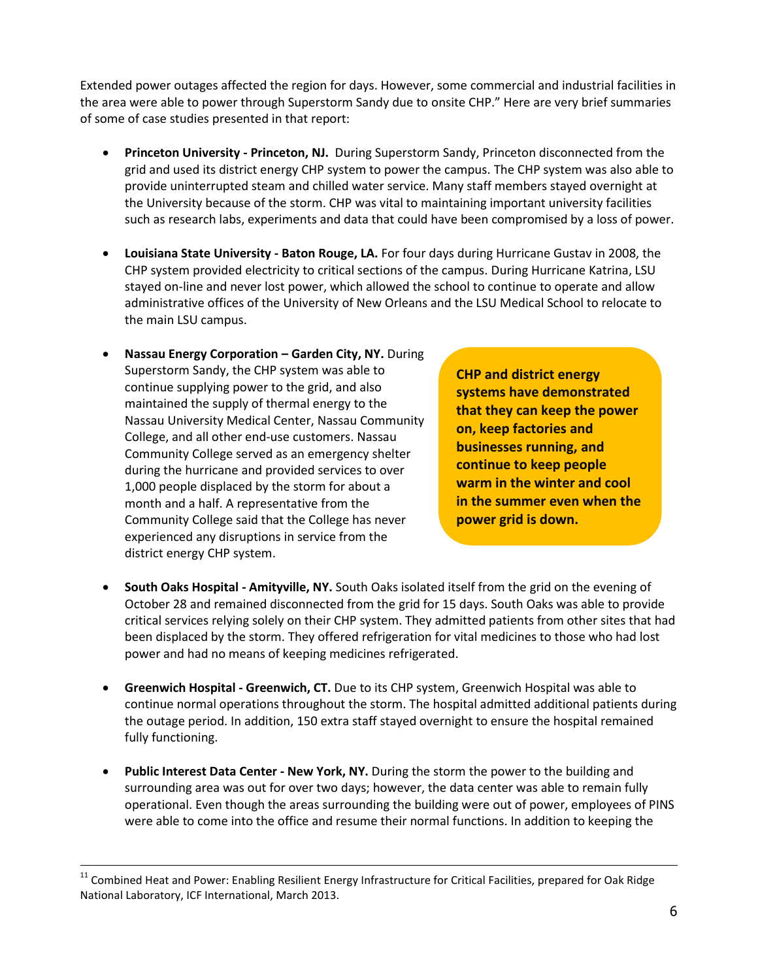Extended power outages affected the region for days. However, some commercial and industrial facilities in the area were able to power through Superstorm Sandy due to onsite CHP." Here are very brief summaries of some of case studies presented in that report:

- **Princeton University - Princeton, NJ.** During Superstorm Sandy, Princeton disconnected from the grid and used its district energy CHP system to power the campus. The CHP system was also able to provide uninterrupted steam and chilled water service. Many staff members stayed overnight at the University because of the storm. CHP was vital to maintaining important university facilities such as research labs, experiments and data that could have been compromised by a loss of power.
- **Louisiana State University - Baton Rouge, LA.** For four days during Hurricane Gustav in 2008, the CHP system provided electricity to critical sections of the campus. During Hurricane Katrina, LSU stayed on-line and never lost power, which allowed the school to continue to operate and allow administrative offices of the University of New Orleans and the LSU Medical School to relocate to the main LSU campus.
- **Nassau Energy Corporation – Garden City, NY.** During Superstorm Sandy, the CHP system was able to continue supplying power to the grid, and also maintained the supply of thermal energy to the Nassau University Medical Center, Nassau Community College, and all other end-use customers. Nassau Community College served as an emergency shelter during the hurricane and provided services to over 1,000 people displaced by the storm for about a month and a half. A representative from the Community College said that the College has never experienced any disruptions in service from the district energy CHP system.

-

**CHP and district energy systems have demonstrated that they can keep the power on, keep factories and businesses running, and continue to keep people warm in the winter and cool in the summer even when the power grid is down.** 

- **South Oaks Hospital - Amityville, NY.** South Oaks isolated itself from the grid on the evening of October 28 and remained disconnected from the grid for 15 days. South Oaks was able to provide critical services relying solely on their CHP system. They admitted patients from other sites that had been displaced by the storm. They offered refrigeration for vital medicines to those who had lost power and had no means of keeping medicines refrigerated.
- **Greenwich Hospital - Greenwich, CT.** Due to its CHP system, Greenwich Hospital was able to continue normal operations throughout the storm. The hospital admitted additional patients during the outage period. In addition, 150 extra staff stayed overnight to ensure the hospital remained fully functioning.
- **Public Interest Data Center - New York, NY.** During the storm the power to the building and surrounding area was out for over two days; however, the data center was able to remain fully operational. Even though the areas surrounding the building were out of power, employees of PINS were able to come into the office and resume their normal functions. In addition to keeping the

 $11$  Combined Heat and Power: Enabling Resilient Energy Infrastructure for Critical Facilities, prepared for Oak Ridge National Laboratory, ICF International, March 2013.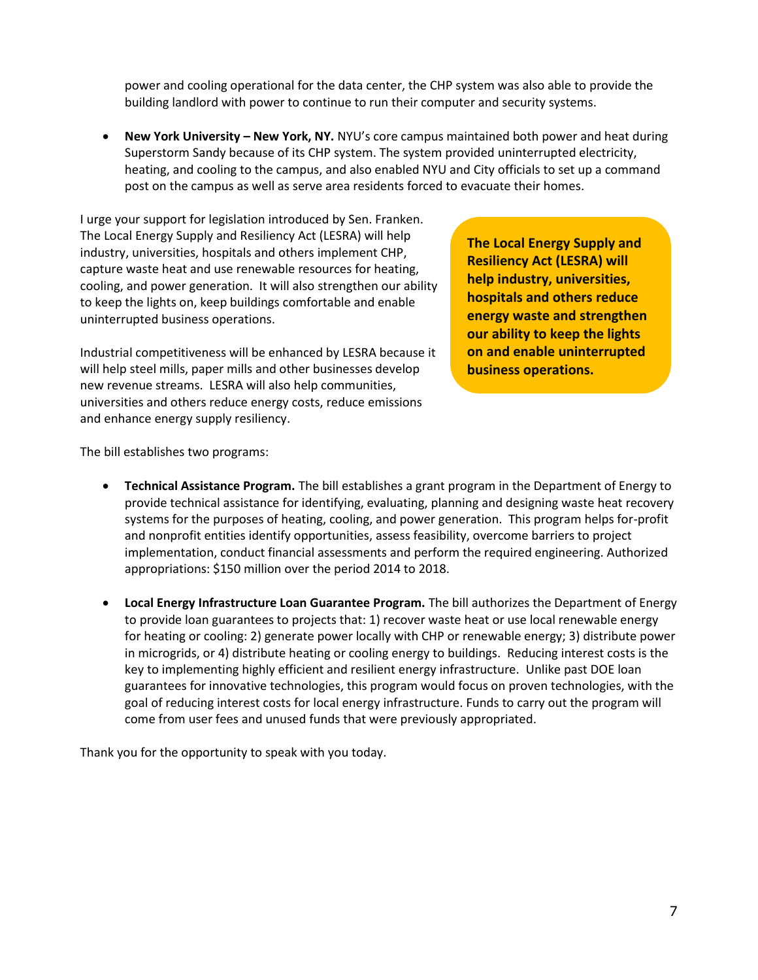power and cooling operational for the data center, the CHP system was also able to provide the building landlord with power to continue to run their computer and security systems.

 **New York University – New York, NY.** NYU's core campus maintained both power and heat during Superstorm Sandy because of its CHP system. The system provided uninterrupted electricity, heating, and cooling to the campus, and also enabled NYU and City officials to set up a command post on the campus as well as serve area residents forced to evacuate their homes.

I urge your support for legislation introduced by Sen. Franken. The Local Energy Supply and Resiliency Act (LESRA) will help industry, universities, hospitals and others implement CHP, capture waste heat and use renewable resources for heating, cooling, and power generation. It will also strengthen our ability to keep the lights on, keep buildings comfortable and enable uninterrupted business operations.

Industrial competitiveness will be enhanced by LESRA because it will help steel mills, paper mills and other businesses develop new revenue streams. LESRA will also help communities, universities and others reduce energy costs, reduce emissions and enhance energy supply resiliency.

**The Local Energy Supply and Resiliency Act (LESRA) will help industry, universities, hospitals and others reduce energy waste and strengthen our ability to keep the lights on and enable uninterrupted business operations.** 

The bill establishes two programs:

- **Technical Assistance Program.** The bill establishes a grant program in the Department of Energy to provide technical assistance for identifying, evaluating, planning and designing waste heat recovery systems for the purposes of heating, cooling, and power generation. This program helps for-profit and nonprofit entities identify opportunities, assess feasibility, overcome barriers to project implementation, conduct financial assessments and perform the required engineering. Authorized appropriations: \$150 million over the period 2014 to 2018.
- **Local Energy Infrastructure Loan Guarantee Program.** The bill authorizes the Department of Energy to provide loan guarantees to projects that: 1) recover waste heat or use local renewable energy for heating or cooling: 2) generate power locally with CHP or renewable energy; 3) distribute power in microgrids, or 4) distribute heating or cooling energy to buildings. Reducing interest costs is the key to implementing highly efficient and resilient energy infrastructure. Unlike past DOE loan guarantees for innovative technologies, this program would focus on proven technologies, with the goal of reducing interest costs for local energy infrastructure. Funds to carry out the program will come from user fees and unused funds that were previously appropriated.

Thank you for the opportunity to speak with you today.